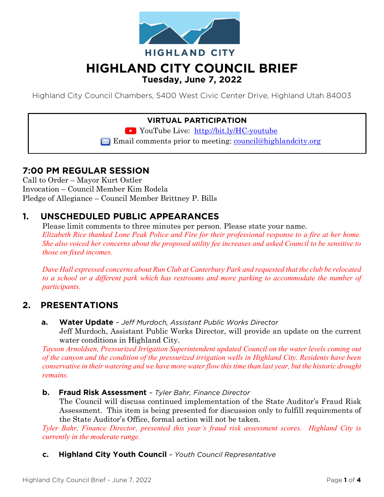

# **HIGHLAND CITY COUNCIL BRIEF Tuesday, June 7, 2022**

Highland City Council Chambers, 5400 West Civic Center Drive, Highland Utah 84003

### **VIRTUAL PARTICIPATION**

YouTube Live: <http://bit.ly/HC-youtube>

 $\boxtimes$  Email comments prior to meeting: [council@highlandcity.org](mailto:council@highlandcity.org)

### **7:00 PM REGULAR SESSION**

Call to Order – Mayor Kurt Ostler Invocation – Council Member Kim Rodela Pledge of Allegiance – Council Member Brittney P. Bills

# **1. UNSCHEDULED PUBLIC APPEARANCES**

Please limit comments to three minutes per person. Please state your name. *Elizabeth Rice thanked Lone Peak Police and Fire for their professional response to a fire at her home. She also voiced her concerns about the proposed utility fee increases and asked Council to be sensitive to those on fixed incomes.*

*Dave Hall expressed concerns about Run Club at Canterbury Park and requested that the club be relocated*  to a school or a different park which has restrooms and more parking to accommodate the number of *participants.*

### **2. PRESENTATIONS**

**a. Water Update** *– Jeff Murdoch, Assistant Public Works Director* Jeff Murdoch, Assistant Public Works Director, will provide an update on the current water conditions in Highland City.

*Tayson Arnoldsen, Pressurized Irrigation Superintendent updated Council on the water levels coming out of the canyon and the condition of the pressurized irrigation wells in Highland City. Residents have been conservative in their watering and we have more water flow this time than last year, but the historic drought remains.*

**b. Fraud Risk Assessment** *– Tyler Bahr, Finance Director*

The Council will discuss continued implementation of the State Auditor's Fraud Risk Assessment. This item is being presented for discussion only to fulfill requirements of the State Auditor's Office, formal action will not be taken.

*Tyler Bahr, Finance Director, presented this year's fraud risk assessment scores. Highland City is currently in the moderate range.* 

**c. Highland City Youth Council** *– Youth Council Representative*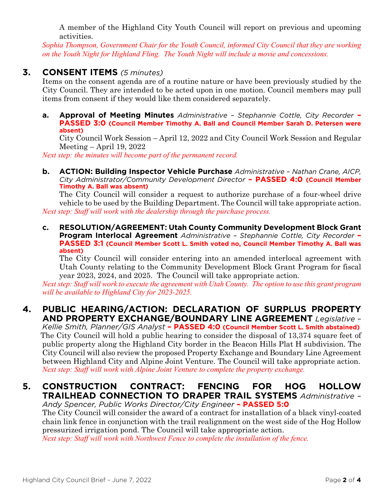A member of the Highland City Youth Council will report on previous and upcoming activities.

*Sophia Thompson, Government Chair for the Youth Council, informed City Council that they are working on the Youth Night for Highland Fling. The Youth Night will include a movie and concessions.*

### **3. CONSENT ITEMS** *(5 minutes)*

Items on the consent agenda are of a routine nature or have been previously studied by the City Council. They are intended to be acted upon in one motion. Council members may pull items from consent if they would like them considered separately.

**a. Approval of Meeting Minutes** *Administrative – Stephannie Cottle, City Recorder* **– PASSED 3:0 (Council Member Timothy A. Ball and Council Member Sarah D. Petersen were absent)**

City Council Work Session – April 12, 2022 and City Council Work Session and Regular Meeting – April 19, 2022

*Next step: the minutes will become part of the permanent record.*

**b. ACTION: Building Inspector Vehicle Purchase** *Administrative – Nathan Crane, AICP, City Administrator/Community Development Director* **– PASSED 4:0 (Council Member Timothy A. Ball was absent)**

The City Council will consider a request to authorize purchase of a four-wheel drive vehicle to be used by the Building Department. The Council will take appropriate action. *Next step: Staff will work with the dealership through the purchase process.*

**c. RESOLUTION/AGREEMENT: Utah County Community Development Block Grant Program Interlocal Agreement** *Administrative – Stephannie Cottle, City Recorder* **– PASSED 3:1 (Council Member Scott L. Smith voted no, Council Member Timothy A. Ball was absent)**

The City Council will consider entering into an amended interlocal agreement with Utah County relating to the Community Development Block Grant Program for fiscal year 2023, 2024, and 2025. The Council will take appropriate action.

*Next step: Staff will work to execute the agreement with Utah County. The option to use this grant program will be available to Highland City for 2023-2025.*

### **4. PUBLIC HEARING/ACTION: DECLARATION OF SURPLUS PROPERTY AND PROPERTY EXCHANGE/BOUNDARY LINE AGREEMENT** *Legislative –*

*Kellie Smith, Planner/GIS Analyst* **– PASSED 4:0 (Council Member Scott L. Smith abstained)** The City Council will hold a public hearing to consider the disposal of 13,374 square feet of public property along the Highland City border in the Beacon Hills Plat H subdivision. The City Council will also review the proposed Property Exchange and Boundary Line Agreement between Highland City and Alpine Joint Venture. The Council will take appropriate action. *Next step: Staff will work with Alpine Joint Venture to complete the property exchange.*

# **5. CONSTRUCTION CONTRACT: FENCING FOR HOG HOLLOW TRAILHEAD CONNECTION TO DRAPER TRAIL SYSTEMS** *Administrative –*

*Andy Spencer, Public Works Director/City Engineer* **– PASSED 5:0** The City Council will consider the award of a contract for installation of a black vinyl-coated chain link fence in conjunction with the trail realignment on the west side of the Hog Hollow pressurized irrigation pond. The Council will take appropriate action.

*Next step: Staff will work with Northwest Fence to complete the installation of the fence.*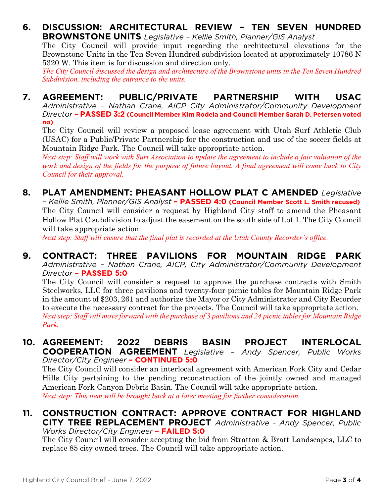#### **6. DISCUSSION: ARCHITECTURAL REVIEW – TEN SEVEN HUNDRED BROWNSTONE UNITS** *Legislative – Kellie Smith, Planner/GIS Analyst*

The City Council will provide input regarding the architectural elevations for the Brownstone Units in the Ten Seven Hundred subdivision located at approximately 10786 N 5320 W. This item is for discussion and direction only.

*The City Council discussed the design and architecture of the Brownstone units in the Ten Seven Hundred Subdivision, including the entrance to the units.*

## **7. AGREEMENT: PUBLIC/PRIVATE PARTNERSHIP WITH USAC**

*Administrative – Nathan Crane, AICP City Administrator/Community Development Director* **– PASSED 3:2 (Council Member Kim Rodela and Council Member Sarah D. Petersen voted no)**

The City Council will review a proposed lease agreement with Utah Surf Athletic Club (USAC) for a Public/Private Partnership for the construction and use of the soccer fields at Mountain Ridge Park. The Council will take appropriate action.

*Next step: Staff will work with Surt Association to update the agreement to include a fair valuation of the work and design of the fields for the purpose of future buyout. A final agreement will come back to City Council for their approval.*

### **8. PLAT AMENDMENT: PHEASANT HOLLOW PLAT C AMENDED** *Legislative*

*– Kellie Smith, Planner/GIS Analyst* **– PASSED 4:0 (Council Member Scott L. Smith recused)** The City Council will consider a request by Highland City staff to amend the Pheasant Hollow Plat C subdivision to adjust the easement on the south side of Lot 1. The City Council will take appropriate action.

*Next step: Staff will ensure that the final plat is recorded at the Utah County Recorder's office.*

#### **9. CONTRACT: THREE PAVILIONS FOR MOUNTAIN RIDGE PARK**  *Administrative – Nathan Crane, AICP, City Administrator/Community Development Director* **– PASSED 5:0**

The City Council will consider a request to approve the purchase contracts with Smith Steelworks, LLC for three pavilions and twenty-four picnic tables for Mountain Ridge Park in the amount of \$203, 261 and authorize the Mayor or City Administrator and City Recorder to execute the necessary contract for the projects. The Council will take appropriate action. *Next step: Staff will move forward with the purchase of 3 pavilions and 24 picnic tables for Mountain Ridge Park.*

#### **10. AGREEMENT: 2022 DEBRIS BASIN PROJECT INTERLOCAL COOPERATION AGREEMENT** *Legislative – Andy Spencer, Public Works Director/City Engineer* **– CONTINUED 5:0**

The City Council will consider an interlocal agreement with American Fork City and Cedar Hills City pertaining to the pending reconstruction of the jointly owned and managed American Fork Canyon Debris Basin. The Council will take appropriate action. *Next step: This item will be brought back at a later meeting for further consideration.*

#### **11. CONSTRUCTION CONTRACT: APPROVE CONTRACT FOR HIGHLAND CITY TREE REPLACEMENT PROJECT** *Administrative - Andy Spencer, Public Works Director/City Engineer* **– FAILED 5:0**

The City Council will consider accepting the bid from Stratton & Bratt Landscapes, LLC to replace 85 city owned trees. The Council will take appropriate action.